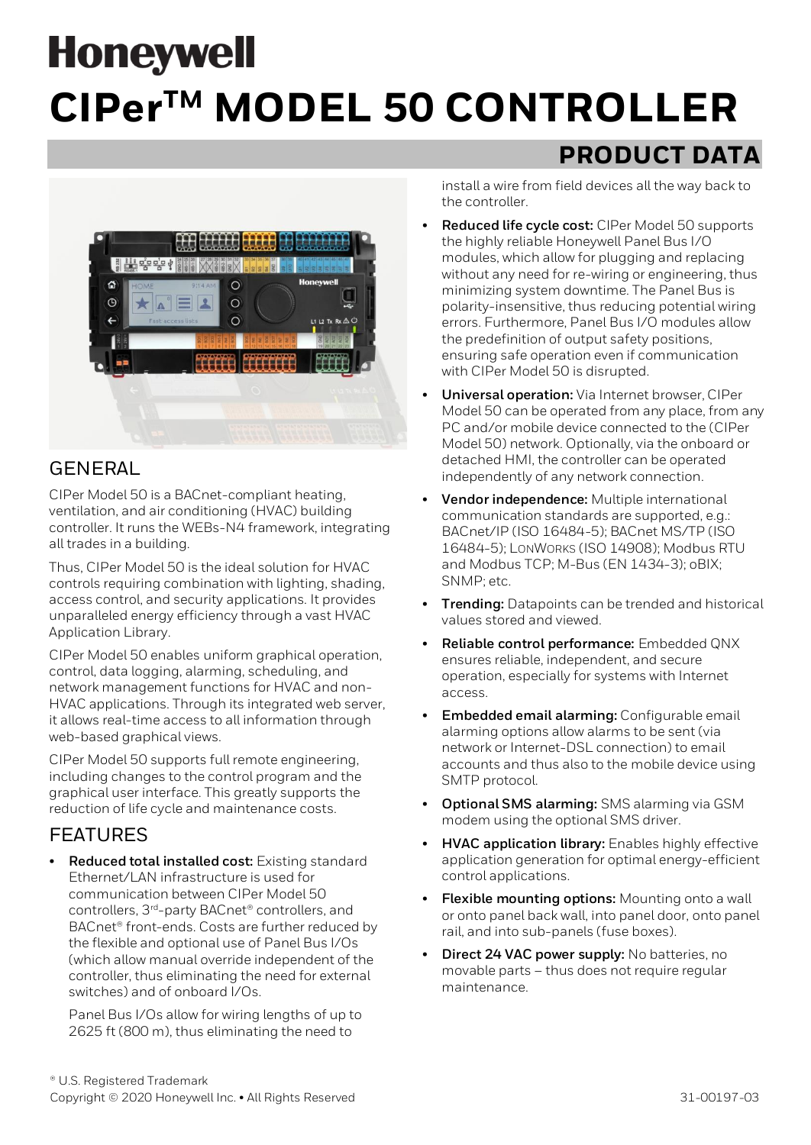# **Honeywell CIPerTM MODEL 50 CONTROLLER**



## GENERAL

CIPer Model 50 is a BACnet-compliant heating, ventilation, and air conditioning (HVAC) building controller. It runs the WEBs-N4 framework, integrating all trades in a building.

Thus, CIPer Model 50 is the ideal solution for HVAC controls requiring combination with lighting, shading, access control, and security applications. It provides unparalleled energy efficiency through a vast HVAC Application Library.

CIPer Model 50 enables uniform graphical operation, control, data logging, alarming, scheduling, and network management functions for HVAC and non-HVAC applications. Through its integrated web server, it allows real-time access to all information through web-based graphical views.

CIPer Model 50 supports full remote engineering, including changes to the control program and the graphical user interface. This greatly supports the reduction of life cycle and maintenance costs.

## FEATURES

• **Reduced total installed cost:** Existing standard Ethernet/LAN infrastructure is used for communication between CIPer Model 50 controllers, 3<sup>rd</sup>-party BACnet<sup>®</sup> controllers, and BACnet® front-ends. Costs are further reduced by the flexible and optional use of Panel Bus I/Os (which allow manual override independent of the controller, thus eliminating the need for external switches) and of onboard I/Os.

Panel Bus I/Os allow for wiring lengths of up to 2625 ft (800 m), thus eliminating the need to

# **PRODUCT DATA**

install a wire from field devices all the way back to the controller.

- **Reduced life cycle cost:** CIPer Model 50 supports the highly reliable Honeywell Panel Bus I/O modules, which allow for plugging and replacing without any need for re-wiring or engineering, thus minimizing system downtime. The Panel Bus is polarity-insensitive, thus reducing potential wiring errors. Furthermore, Panel Bus I/O modules allow the predefinition of output safety positions, ensuring safe operation even if communication with CIPer Model 50 is disrupted.
- **Universal operation:** Via Internet browser, CIPer Model 50 can be operated from any place, from any PC and/or mobile device connected to the (CIPer Model 50) network. Optionally, via the onboard or detached HMI, the controller can be operated independently of any network connection.
- **Vendor independence:** Multiple international communication standards are supported, e.g.: BACnet/IP (ISO 16484-5); BACnet MS/TP (ISO 16484-5); LONWORKS (ISO 14908); Modbus RTU and Modbus TCP; M-Bus (EN 1434-3); oBIX; SNMP; etc.
- **Trending:** Datapoints can be trended and historical values stored and viewed.
- **Reliable control performance:** Embedded QNX ensures reliable, independent, and secure operation, especially for systems with Internet access.
- **Embedded email alarming:** Configurable email alarming options allow alarms to be sent (via network or Internet-DSL connection) to email accounts and thus also to the mobile device using SMTP protocol.
- **Optional SMS alarming:** SMS alarming via GSM modem using the optional SMS driver.
- **HVAC application library:** Enables highly effective application generation for optimal energy-efficient control applications.
- **Flexible mounting options:** Mounting onto a wall or onto panel back wall, into panel door, onto panel rail, and into sub-panels (fuse boxes).
- **Direct 24 VAC power supply:** No batteries, no movable parts – thus does not require regular maintenance.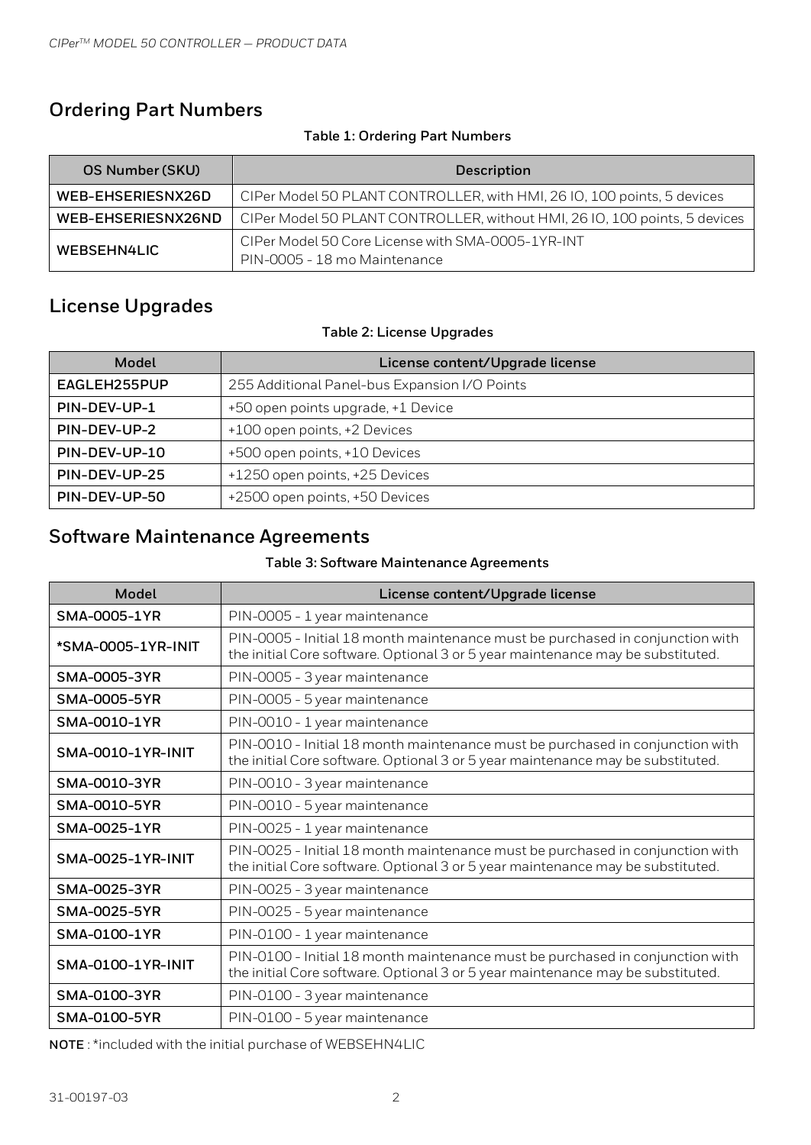## **Ordering Part Numbers**

#### **Table 1: Ordering Part Numbers**

| OS Number (SKU)    | <b>Description</b>                                                                |  |  |  |
|--------------------|-----------------------------------------------------------------------------------|--|--|--|
| WEB-EHSERIESNX26D  | CIPer Model 50 PLANT CONTROLLER, with HMI, 26 IO, 100 points, 5 devices           |  |  |  |
| WEB-EHSERIESNX26ND | CIPer Model 50 PLANT CONTROLLER, without HMI, 26 IO, 100 points, 5 devices        |  |  |  |
| WEBSEHN4LIC        | CIPer Model 50 Core License with SMA-0005-1YR-INT<br>PIN-0005 - 18 mo Maintenance |  |  |  |

## <span id="page-1-0"></span>**License Upgrades**

#### **Table 2: License Upgrades**

| Model         | License content/Upgrade license               |  |  |
|---------------|-----------------------------------------------|--|--|
| EAGLEH255PUP  | 255 Additional Panel-bus Expansion I/O Points |  |  |
| PIN-DEV-UP-1  | +50 open points upgrade, +1 Device            |  |  |
| PIN-DEV-UP-2  | +100 open points, +2 Devices                  |  |  |
| PIN-DEV-UP-10 | +500 open points, +10 Devices                 |  |  |
| PIN-DEV-UP-25 | +1250 open points, +25 Devices                |  |  |
| PIN-DEV-UP-50 | +2500 open points, +50 Devices                |  |  |

# **Software Maintenance Agreements**

#### **Table 3: Software Maintenance Agreements**

| <b>Model</b>             | License content/Upgrade license                                                                                                                                  |  |  |  |  |
|--------------------------|------------------------------------------------------------------------------------------------------------------------------------------------------------------|--|--|--|--|
| SMA-0005-1YR             | PIN-0005 - 1 year maintenance                                                                                                                                    |  |  |  |  |
| *SMA-0005-1YR-INIT       | PIN-0005 - Initial 18 month maintenance must be purchased in conjunction with<br>the initial Core software. Optional 3 or 5 year maintenance may be substituted. |  |  |  |  |
| <b>SMA-0005-3YR</b>      | PIN-0005 - 3 year maintenance                                                                                                                                    |  |  |  |  |
| <b>SMA-0005-5YR</b>      | PIN-0005 - 5 year maintenance                                                                                                                                    |  |  |  |  |
| SMA-0010-1YR             | PIN-0010 - 1 year maintenance                                                                                                                                    |  |  |  |  |
| <b>SMA-0010-1YR-INIT</b> | PIN-0010 - Initial 18 month maintenance must be purchased in conjunction with<br>the initial Core software. Optional 3 or 5 year maintenance may be substituted. |  |  |  |  |
| <b>SMA-0010-3YR</b>      | PIN-0010 - 3 year maintenance                                                                                                                                    |  |  |  |  |
| SMA-0010-5YR             | PIN-0010 - 5 year maintenance                                                                                                                                    |  |  |  |  |
| SMA-0025-1YR             | PIN-0025 - 1 year maintenance                                                                                                                                    |  |  |  |  |
| <b>SMA-0025-1YR-INIT</b> | PIN-0025 - Initial 18 month maintenance must be purchased in conjunction with<br>the initial Core software. Optional 3 or 5 year maintenance may be substituted. |  |  |  |  |
| SMA-0025-3YR             | PIN-0025 - 3 year maintenance                                                                                                                                    |  |  |  |  |
| <b>SMA-0025-5YR</b>      | PIN-0025 - 5 year maintenance                                                                                                                                    |  |  |  |  |
| SMA-0100-1YR             | PIN-0100 - 1 year maintenance                                                                                                                                    |  |  |  |  |
| <b>SMA-0100-1YR-INIT</b> | PIN-0100 - Initial 18 month maintenance must be purchased in conjunction with<br>the initial Core software. Optional 3 or 5 year maintenance may be substituted. |  |  |  |  |
| SMA-0100-3YR             | PIN-0100 - 3 year maintenance                                                                                                                                    |  |  |  |  |
| SMA-0100-5YR             | PIN-0100 - 5 year maintenance                                                                                                                                    |  |  |  |  |

**NOTE** : \*included with the initial purchase of WEBSEHN4LIC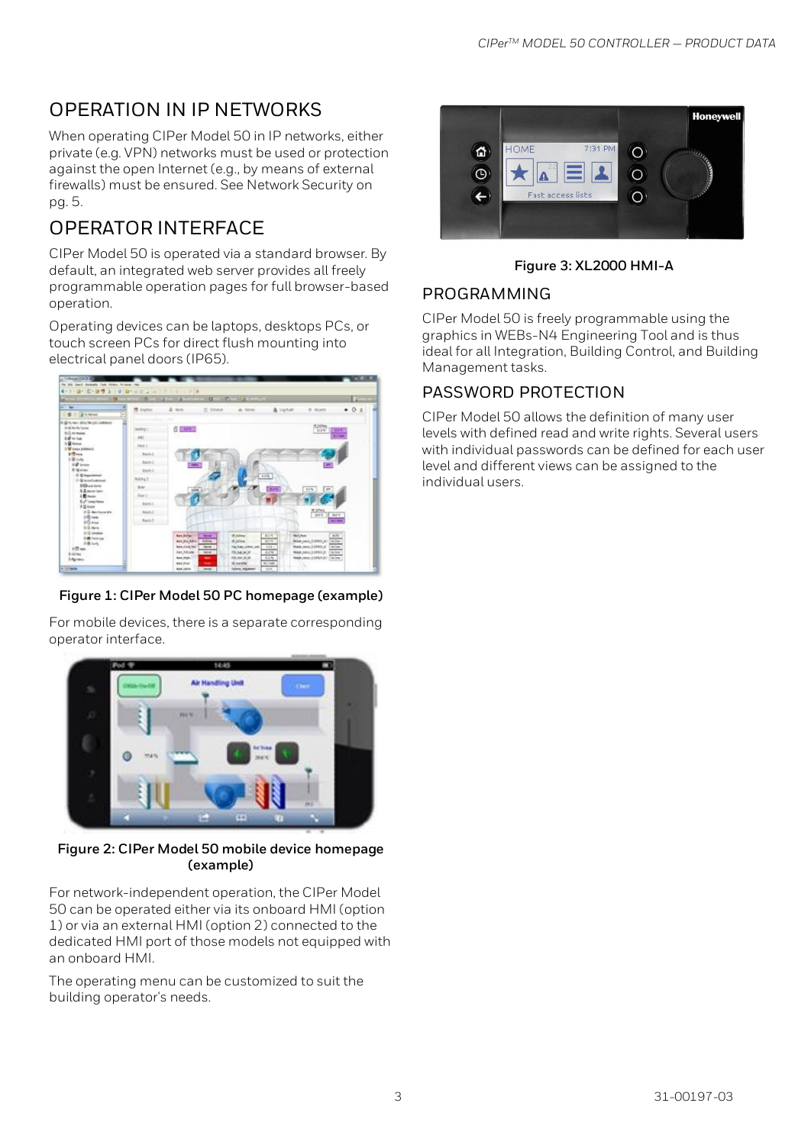# OPERATION IN IP NETWORKS

When operating CIPer Model 50 in IP networks, either private (e.g. VPN) networks must be used or protection against the open Internet (e.g., by means of external firewalls) must be ensured. See [Network Security](#page-5-0) on pg. 5.

# OPERATOR INTERFACE

CIPer Model 50 is operated via a standard browser. By default, an integrated web server provides all freely programmable operation pages for full browser-based operation.

Operating devices can be laptops, desktops PCs, or touch screen PCs for direct flush mounting into electrical panel doors (IP65).



#### **Figure 1: CIPer Model 50 PC homepage (example)**

For mobile devices, there is a separate corresponding operator interface.



#### **Figure 2: CIPer Model 50 mobile device homepage (example)**

For network-independent operation, the CIPer Model 50 can be operated either via its onboard HMI (option 1) or via an external HMI (option 2) connected to the dedicated HMI port of those models not equipped with an onboard HMI.

The operating menu can be customized to suit the building operator's needs.



**Figure 3: XL2000 HMI-A**

## PROGRAMMING

CIPer Model 50 is freely programmable using the graphics in WEBs-N4 Engineering Tool and is thus ideal for all Integration, Building Control, and Building Management tasks.

## PASSWORD PROTECTION

CIPer Model 50 allows the definition of many user levels with defined read and write rights. Several users with individual passwords can be defined for each user level and different views can be assigned to the individual users.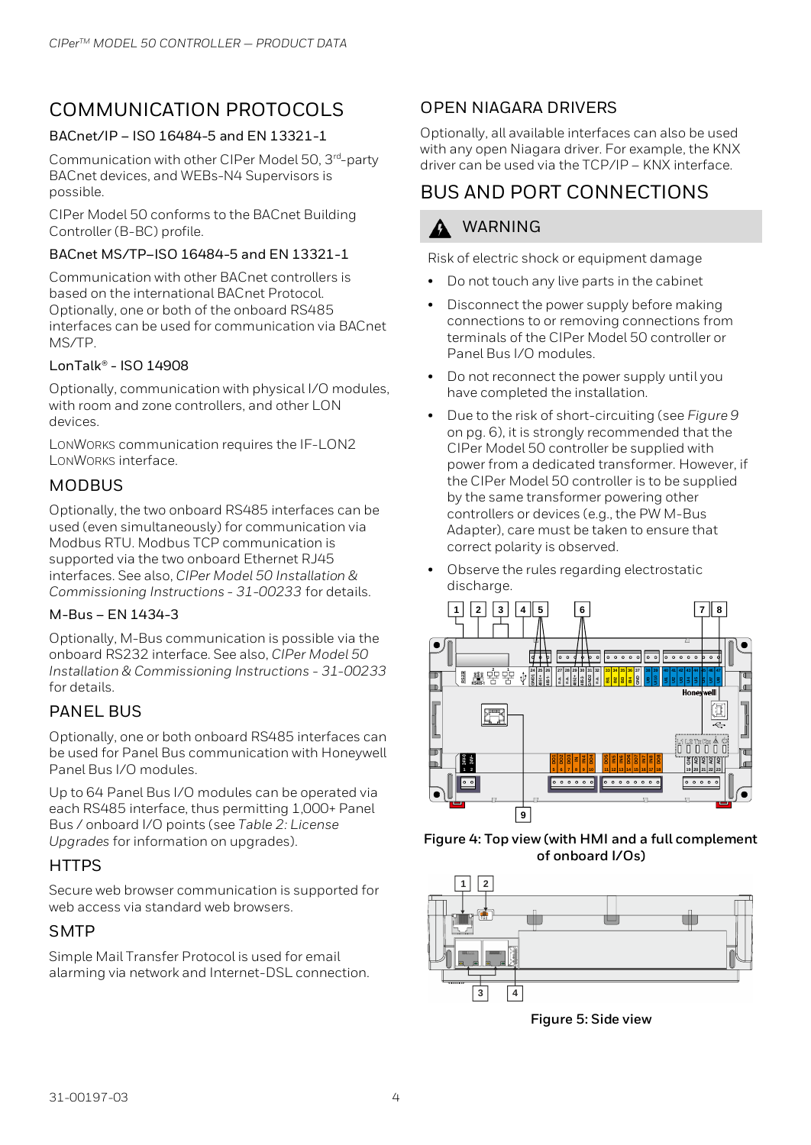# COMMUNICATION PROTOCOLS

#### BACnet/IP – ISO 16484-5 and EN 13321-1

Communication with other CIPer Model 50, 3rd-party BACnet devices, and WEBs-N4 Supervisors is possible.

CIPer Model 50 conforms to the BACnet Building Controller (B-BC) profile.

#### BACnet MS/TP–ISO 16484-5 and EN 13321-1

Communication with other BACnet controllers is based on the international BACnet Protocol. Optionally, one or both of the onboard RS485 interfaces can be used for communication via BACnet MS/TP.

#### LonTalk® - ISO 14908

Optionally, communication with physical I/O modules, with room and zone controllers, and other LON devices.

LONWORKS communication requires the IF-LON2 LONWORKS interface.

## **MODBUS**

Optionally, the two onboard RS485 interfaces can be used (even simultaneously) for communication via Modbus RTU. Modbus TCP communication is supported via the two onboard Ethernet RJ45 interfaces. See also, CIPer Model 50 Installation & Commissioning Instructions - 31-00233 for details.

#### M-Bus – EN 1434-3

Optionally, M-Bus communication is possible via the onboard RS232 interface. See also, CIPer Model 50 Installation & Commissioning Instructions - 31-00233 for details.

#### PANEL BUS

Optionally, one or both onboard RS485 interfaces can be used for Panel Bus communication with Honeywell Panel Bus I/O modules.

Up to 64 Panel Bus I/O modules can be operated via each RS485 interface, thus permitting 1,000+ Panel Bus / onboard I/O points (see [Table 2: License](#page-1-0)  [Upgrades](#page-1-0) for information on upgrades).

## **HTTPS**

Secure web browser communication is supported for web access via standard web browsers.

## **SMTP**

Simple Mail Transfer Protocol is used for email alarming via network and Internet-DSL connection.

## OPEN NIAGARA DRIVERS

Optionally, all available interfaces can also be used with any open Niagara driver. For example, the KNX driver can be used via the TCP/IP – KNX interface.

## BUS AND PORT CONNECTIONS

## WARNING

Risk of electric shock or equipment damage

- Do not touch any live parts in the cabinet
- Disconnect the power supply before making connections to or removing connections from terminals of the CIPer Model 50 controller or Panel Bus I/O modules.
- Do not reconnect the power supply until you have completed the installation.
- Due to the risk of short-circuiting (see [Figure 9](#page-6-0) on pg. 6), it is strongly recommended that the CIPer Model 50 controller be supplied with power from a dedicated transformer. However, if the CIPer Model 50 controller is to be supplied by the same transformer powering other controllers or devices (e.g., the PW M-Bus Adapter), care must be taken to ensure that correct polarity is observed.
- Observe the rules regarding electrostatic discharge.







<span id="page-3-0"></span>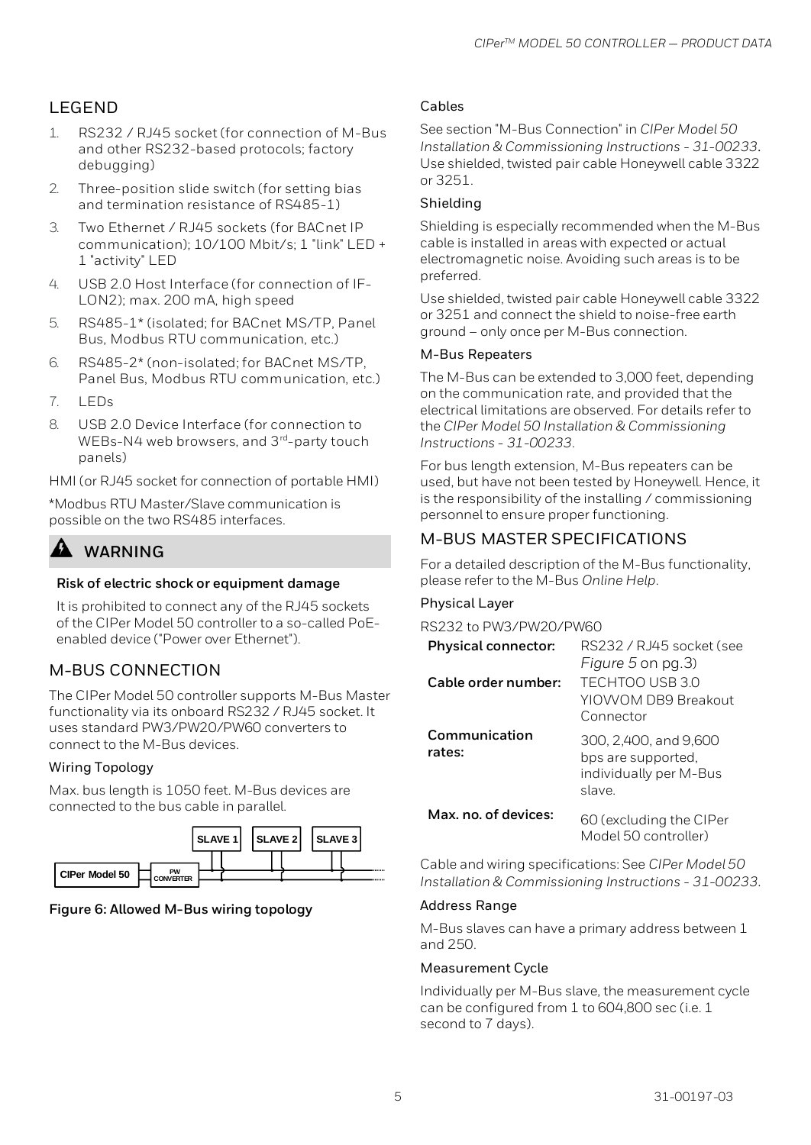## LEGEND

- 1. RS232 / RJ45 socket (for connection of M-Bus and other RS232-based protocols; factory debugging)
- 2. Three-position slide switch (for setting bias and termination resistance of RS485-1)
- 3. Two Ethernet / RJ45 sockets (for BACnet IP communication); 10/100 Mbit/s; 1 "link" LED + 1 "activity" LED
- 4. USB 2.0 Host Interface (for connection of IF-LON2); max. 200 mA, high speed
- 5. RS485-1\* (isolated; for BACnet MS/TP, Panel Bus, Modbus RTU communication, etc.)
- 6. RS485-2\* (non-isolated; for BACnet MS/TP, Panel Bus, Modbus RTU communication, etc.)
- $7.$  LEDs
- 8. USB 2.0 Device Interface (for connection to WEBs-N4 web browsers, and 3<sup>rd</sup>-party touch panels)

HMI (or RJ45 socket for connection of portable HMI)

\*Modbus RTU Master/Slave communication is possible on the two RS485 interfaces.

## **WARNING**

#### **Risk of electric shock or equipment damage**

It is prohibited to connect any of the RJ45 sockets of the CIPer Model 50 controller to a so-called PoEenabled device ("Power over Ethernet").

## M-BUS CONNECTION

The CIPer Model 50 controller supports M-Bus Master functionality via its onboard RS232 / RJ45 socket. It uses standard PW3/PW20/PW60 converters to connect to the M-Bus devices.

#### Wiring Topology

Max. bus length is 1050 feet. M-Bus devices are connected to the bus cable in parallel.



#### **Figure 6: Allowed M-Bus wiring topology**

#### Cables

See section "M-Bus Connection" in CIPer Model 50 Installation & Commissioning Instructions - 31-00233. Use shielded, twisted pair cable Honeywell cable 3322 or 3251.

#### Shielding

Shielding is especially recommended when the M-Bus cable is installed in areas with expected or actual electromagnetic noise. Avoiding such areas is to be preferred.

Use shielded, twisted pair cable Honeywell cable 3322 or 3251 and connect the shield to noise-free earth ground – only once per M-Bus connection.

#### M-Bus Repeaters

The M-Bus can be extended to 3,000 feet, depending on the communication rate, and provided that the electrical limitations are observed. For details refer to the CIPer Model 50 Installation & Commissioning Instructions - 31-00233.

For bus length extension, M-Bus repeaters can be used, but have not been tested by Honeywell. Hence, it is the responsibility of the installing / commissioning personnel to ensure proper functioning.

## M-BUS MASTER SPECIFICATIONS

For a detailed description of the M-Bus functionality, please refer to the M-Bus Online Help.

#### Physical Layer

RS232 to PW3/PW20/PW60

| Physical connector:     | RS232 / RJ45 socket (see<br>Figure 5 on pg.3)                                   |
|-------------------------|---------------------------------------------------------------------------------|
| Cable order number:     | TFCHTOO USB 3.0<br>YIOWOM DB9 Breakout<br>Connector                             |
| Communication<br>rates: | 300, 2,400, and 9,600<br>bps are supported,<br>individually per M-Bus<br>slave. |
| Max, no, of devices:    | 60 (excluding the CIPer<br>Model 50 controller)                                 |

Cable and wiring specifications: See CIPer Model 50 Installation & Commissioning Instructions - 31-00233.

#### Address Range

M-Bus slaves can have a primary address between 1 and 250.

#### Measurement Cycle

Individually per M-Bus slave, the measurement cycle can be configured from 1 to 604,800 sec (i.e. 1 second to 7 days).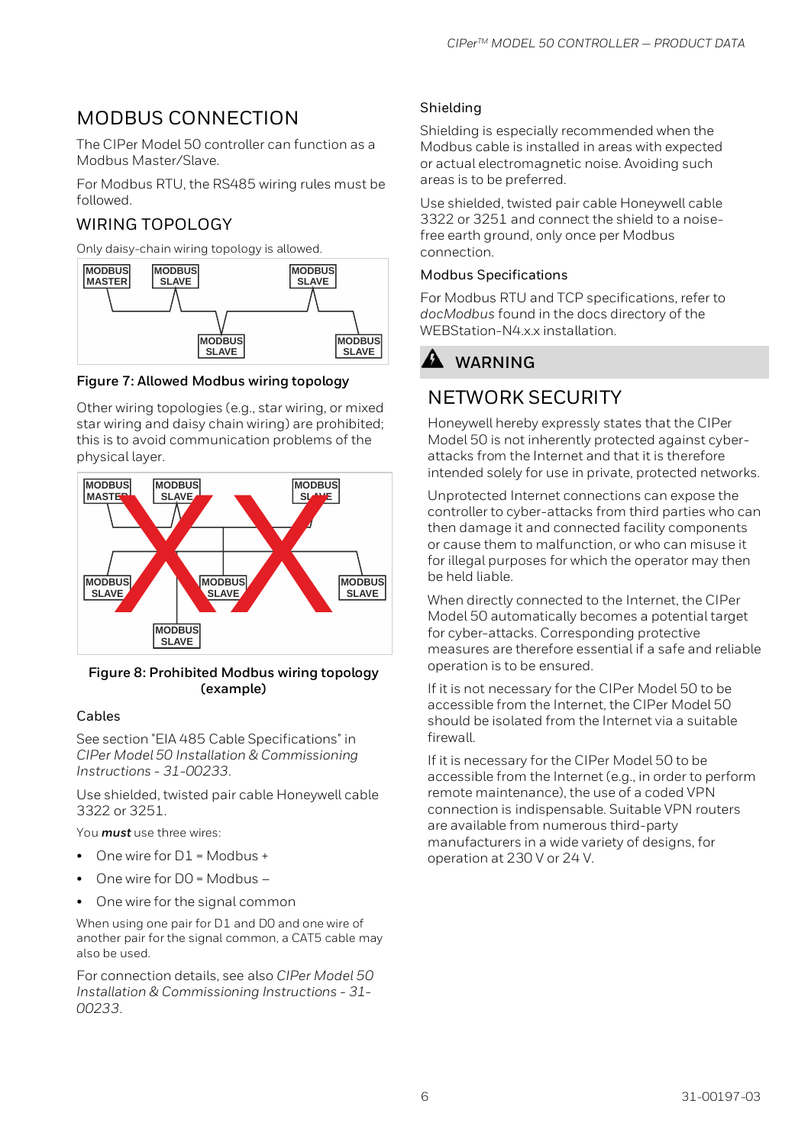# MODBUS CONNECTION

The CIPer Model 50 controller can function as a Modbus Master/Slave.

For Modbus RTU, the RS485 wiring rules must be followed.

## WIRING TOPOLOGY

Only daisy-chain wiring topology is allowed.



**Figure 7: Allowed Modbus wiring topology**

Other wiring topologies (e.g., star wiring, or mixed star wiring and daisy chain wiring) are prohibited; this is to avoid communication problems of the physical layer.



#### **Figure 8: Prohibited Modbus wiring topology (example)**

#### Cables

See section "EIA 485 Cable Specifications" in CIPer Model 50 Installation & Commissioning Instructions - 31-00233.

Use shielded, twisted pair cable Honeywell cable 3322 or 3251.

You **must** use three wires:

- One wire for D1 = Modbus +
- One wire for D0 = Modbus –
- One wire for the signal common

When using one pair for D1 and D0 and one wire of another pair for the signal common, a CAT5 cable may also be used.

For connection details, see also CIPer Model 50 Installation & Commissioning Instructions - 31- 00233.

#### Shielding

Shielding is especially recommended when the Modbus cable is installed in areas with expected or actual electromagnetic noise. Avoiding such areas is to be preferred.

Use shielded, twisted pair cable Honeywell cable 3322 or 3251 and connect the shield to a noisefree earth ground, only once per Modbus connection.

#### Modbus Specifications

For Modbus RTU and TCP specifications, refer to docModbus found in the docs directory of the WEBStation-N4.x.x installation.

# **WARNING**

# <span id="page-5-0"></span>NETWORK SECURITY

Honeywell hereby expressly states that the CIPer Model 50 is not inherently protected against cyberattacks from the Internet and that it is therefore intended solely for use in private, protected networks.

Unprotected Internet connections can expose the controller to cyber-attacks from third parties who can then damage it and connected facility components or cause them to malfunction, or who can misuse it for illegal purposes for which the operator may then be held liable.

When directly connected to the Internet, the CIPer Model 50 automatically becomes a potential target for cyber-attacks. Corresponding protective measures are therefore essential if a safe and reliable operation is to be ensured.

If it is not necessary for the CIPer Model 50 to be accessible from the Internet, the CIPer Model 50 should be isolated from the Internet via a suitable firewall.

If it is necessary for the CIPer Model 50 to be accessible from the Internet (e.g., in order to perform remote maintenance), the use of a coded VPN connection is indispensable. Suitable VPN routers are available from numerous third-party manufacturers in a wide variety of designs, for operation at 230 V or 24 V.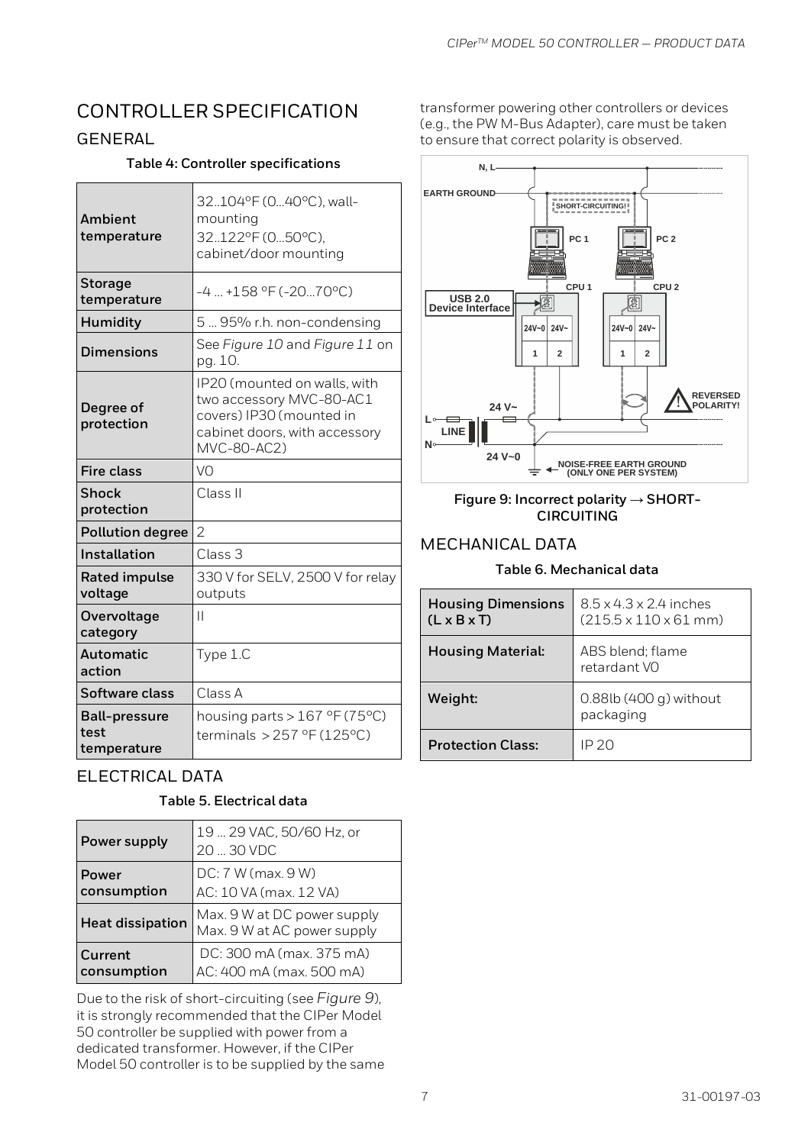# CONTROLLER SPECIFICATION

### GENERAL

#### **Table 4: Controller specifications**

| Ambient<br>temperature                      | 32104°F (040°C), wall-<br>mounting<br>32122°F (050°C),<br>cabinet/door mounting                                                      |  |  |  |
|---------------------------------------------|--------------------------------------------------------------------------------------------------------------------------------------|--|--|--|
| <b>Storage</b><br>temperature               | $-4$ +158 °F (-2070°C)                                                                                                               |  |  |  |
| Humidity                                    | 5  95% r.h. non-condensing                                                                                                           |  |  |  |
| <b>Dimensions</b>                           | See Figure 10 and Figure 11 on<br>pg. 10.                                                                                            |  |  |  |
| Degree of<br>protection                     | IP20 (mounted on walls, with<br>two accessory MVC-80-AC1<br>covers) IP30 (mounted in<br>cabinet doors, with accessory<br>MVC-80-AC2) |  |  |  |
| <b>Fire class</b>                           | VO                                                                                                                                   |  |  |  |
| <b>Shock</b><br>protection                  | Class II                                                                                                                             |  |  |  |
| <b>Pollution degree</b>                     | $\overline{2}$                                                                                                                       |  |  |  |
| Installation                                | Class <sub>3</sub>                                                                                                                   |  |  |  |
| <b>Rated impulse</b><br>voltage             | 330 V for SELV, 2500 V for relay<br>outputs                                                                                          |  |  |  |
| Overvoltage<br>category                     | Ш                                                                                                                                    |  |  |  |
| <b>Automatic</b><br>action                  | Type 1.C                                                                                                                             |  |  |  |
| Software class                              | Class A                                                                                                                              |  |  |  |
| <b>Ball-pressure</b><br>test<br>temperature | housing parts > $167$ °F (75°C)<br>terminals > $257$ °F (125°C)                                                                      |  |  |  |

## ELECTRICAL DATA

#### **Table 5. Electrical data**

| Power supply            | 19  29 VAC, 50/60 Hz, or<br>20  30 VDC                     |  |  |
|-------------------------|------------------------------------------------------------|--|--|
| Power<br>consumption    | DC: 7 W (max. 9 W)<br>AC: 10 VA (max. 12 VA)               |  |  |
| <b>Heat dissipation</b> | Max. 9 W at DC power supply<br>Max. 9 W at AC power supply |  |  |
| Current<br>consumption  | DC: 300 mA (max. 375 mA)<br>AC: 400 mA (max. 500 mA)       |  |  |

Due to the risk of short-circuiting (see [Figure 9](#page-6-0)), it is strongly recommended that the CIPer Model 50 controller be supplied with power from a dedicated transformer. However, if the CIPer Model 50 controller is to be supplied by the same transformer powering other controllers or devices (e.g., the PW M-Bus Adapter), care must be taken to ensure that correct polarity is observed.



#### <span id="page-6-0"></span>**Figure 9: Incorrect polarity → SHORT-CIRCUITING**

#### MECHANICAL DATA

#### **Table 6. Mechanical data**

| <b>Housing Dimensions</b><br>$(L \times B \times T)$ | $8.5 \times 4.3 \times 2.4$ inches<br>$(215.5 \times 110 \times 61 \text{ mm})$ |
|------------------------------------------------------|---------------------------------------------------------------------------------|
| <b>Housing Material:</b>                             | ABS blend; flame<br>retardant VO                                                |
| Weight:                                              | $0.88$ lb $(400 g)$ without<br>packaging                                        |
| <b>Protection Class:</b>                             | IP 20                                                                           |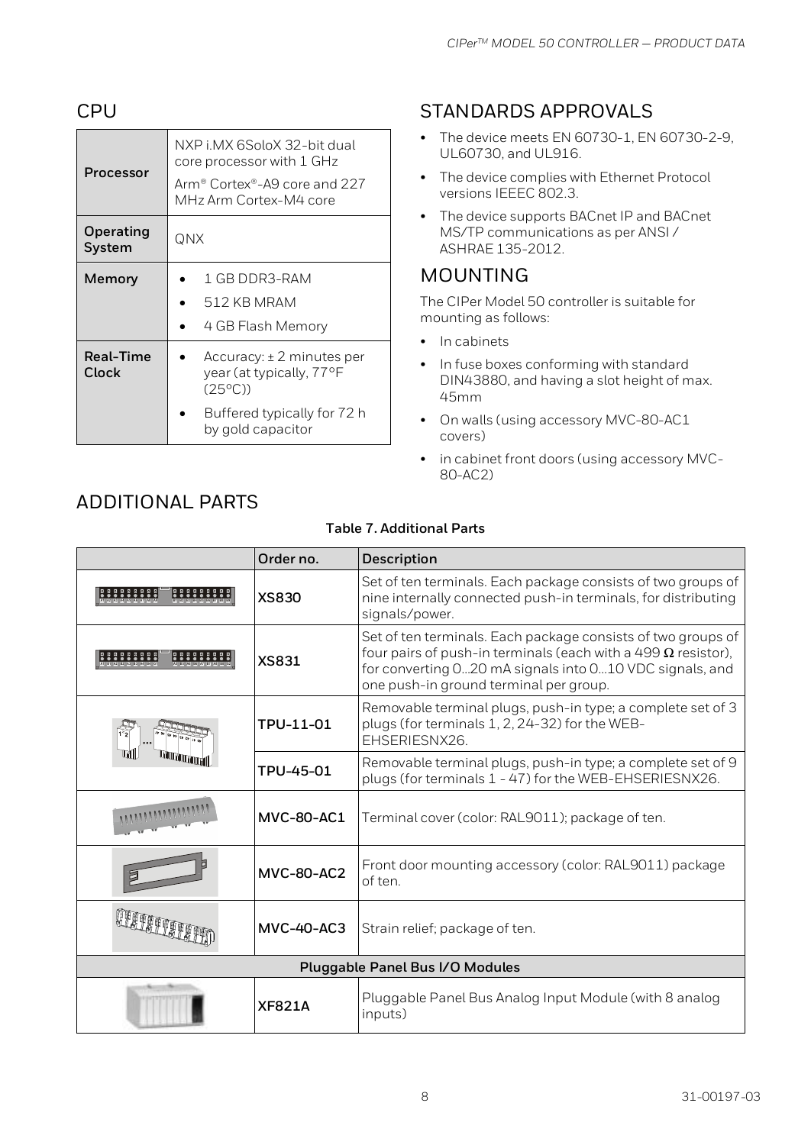## CPU

| Processor                  | NXP i MX 6SoloX 32-bit dual<br>core processor with 1 GHz<br>Arm® Cortex®-A9 core and 227<br>MHz Arm Cortex-M4 core                |  |  |  |
|----------------------------|-----------------------------------------------------------------------------------------------------------------------------------|--|--|--|
| <b>Operating</b><br>System | QNX                                                                                                                               |  |  |  |
| Memory                     | 1 GB DDR3-RAM<br>512 KB MRAM<br>4 GB Flash Memory                                                                                 |  |  |  |
| <b>Real-Time</b><br>Clock  | $Accuracy: \pm 2 minutes$ per<br>year (at typically, 77°F<br>$(25^{\circ}$ C)<br>Buffered typically for 72 h<br>by gold capacitor |  |  |  |

# STANDARDS APPROVALS

- The device meets EN 60730-1, EN 60730-2-9, UL60730, and UL916.
- The device complies with Ethernet Protocol versions IEEEC 802.3.
- The device supports BACnet IP and BACnet MS/TP communications as per ANSI / ASHRAE 135-2012.

## MOUNTING

The CIPer Model 50 controller is suitable for mounting as follows:

- In cabinets
- In fuse boxes conforming with standard DIN43880, and having a slot height of max. 45mm
- On walls (using accessory MVC-80-AC1 covers)
- in cabinet front doors (using accessory MVC-80-AC2)

| <b>Table 7. Additional Parts</b> |                   |                                                                                                                                                                                                                                           |  |  |  |  |
|----------------------------------|-------------------|-------------------------------------------------------------------------------------------------------------------------------------------------------------------------------------------------------------------------------------------|--|--|--|--|
| Order no.<br>Description         |                   |                                                                                                                                                                                                                                           |  |  |  |  |
|                                  | <b>XS830</b>      | Set of ten terminals. Each package consists of two groups of<br>nine internally connected push-in terminals, for distributing<br>signals/power.                                                                                           |  |  |  |  |
|                                  | <b>XS831</b>      | Set of ten terminals. Each package consists of two groups of<br>four pairs of push-in terminals (each with a 499 $\Omega$ resistor),<br>for converting 020 mA signals into 010 VDC signals, and<br>one push-in ground terminal per group. |  |  |  |  |
|                                  | TPU-11-01         | Removable terminal plugs, push-in type; a complete set of 3<br>plugs (for terminals 1, 2, 24-32) for the WEB-<br>EHSERIESNX26.                                                                                                            |  |  |  |  |
|                                  | TPU-45-01         | Removable terminal plugs, push-in type; a complete set of 9<br>plugs (for terminals 1 - 47) for the WEB-EHSERIESNX26.                                                                                                                     |  |  |  |  |
|                                  | <b>MVC-80-AC1</b> | Terminal cover (color: RAL9011); package of ten.                                                                                                                                                                                          |  |  |  |  |
|                                  | <b>MVC-80-AC2</b> | Front door mounting accessory (color: RAL9011) package<br>of ten.                                                                                                                                                                         |  |  |  |  |
|                                  | <b>MVC-40-AC3</b> | Strain relief; package of ten.                                                                                                                                                                                                            |  |  |  |  |
| Pluggable Panel Bus I/O Modules  |                   |                                                                                                                                                                                                                                           |  |  |  |  |
|                                  | <b>XF821A</b>     | Pluggable Panel Bus Analog Input Module (with 8 analog<br>inputs)                                                                                                                                                                         |  |  |  |  |
|                                  |                   | 31-00197-03<br>8                                                                                                                                                                                                                          |  |  |  |  |

# ADDITIONAL PARTS

I

J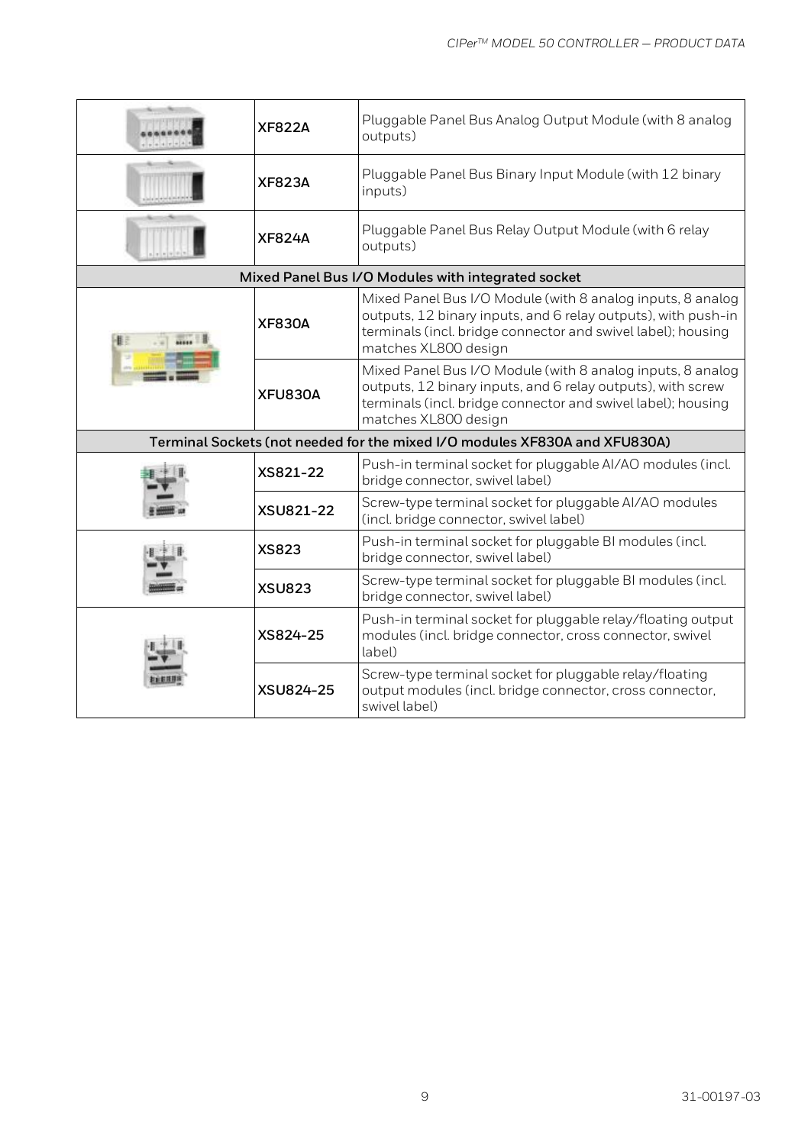|                                                                            | <b>XF822A</b> | Pluggable Panel Bus Analog Output Module (with 8 analog<br>outputs)                                                                                                                                                 |  |  |  |
|----------------------------------------------------------------------------|---------------|---------------------------------------------------------------------------------------------------------------------------------------------------------------------------------------------------------------------|--|--|--|
|                                                                            | <b>XF823A</b> | Pluggable Panel Bus Binary Input Module (with 12 binary<br>inputs)                                                                                                                                                  |  |  |  |
|                                                                            | <b>XF824A</b> | Pluggable Panel Bus Relay Output Module (with 6 relay<br>outputs)                                                                                                                                                   |  |  |  |
|                                                                            |               | Mixed Panel Bus I/O Modules with integrated socket                                                                                                                                                                  |  |  |  |
|                                                                            | <b>XF830A</b> | Mixed Panel Bus I/O Module (with 8 analog inputs, 8 analog<br>outputs, 12 binary inputs, and 6 relay outputs), with push-in<br>terminals (incl. bridge connector and swivel label); housing<br>matches XL800 design |  |  |  |
|                                                                            | XFU830A       | Mixed Panel Bus I/O Module (with 8 analog inputs, 8 analog<br>outputs, 12 binary inputs, and 6 relay outputs), with screw<br>terminals (incl. bridge connector and swivel label); housing<br>matches XL800 design   |  |  |  |
| Terminal Sockets (not needed for the mixed I/O modules XF830A and XFU830A) |               |                                                                                                                                                                                                                     |  |  |  |
| XS821-22                                                                   |               | Push-in terminal socket for pluggable AI/AO modules (incl.<br>bridge connector, swivel label)                                                                                                                       |  |  |  |
|                                                                            | XSU821-22     | Screw-type terminal socket for pluggable AI/AO modules<br>(incl. bridge connector, swivel label)                                                                                                                    |  |  |  |
|                                                                            | <b>XS823</b>  | Push-in terminal socket for pluggable BI modules (incl.<br>bridge connector, swivel label)                                                                                                                          |  |  |  |
|                                                                            | <b>XSU823</b> | Screw-type terminal socket for pluggable BI modules (incl.<br>bridge connector, swivel label)                                                                                                                       |  |  |  |
|                                                                            | XS824-25      | Push-in terminal socket for pluggable relay/floating output<br>modules (incl. bridge connector, cross connector, swivel<br>label)                                                                                   |  |  |  |
|                                                                            | XSU824-25     | Screw-type terminal socket for pluggable relay/floating<br>output modules (incl. bridge connector, cross connector,<br>swivel label)                                                                                |  |  |  |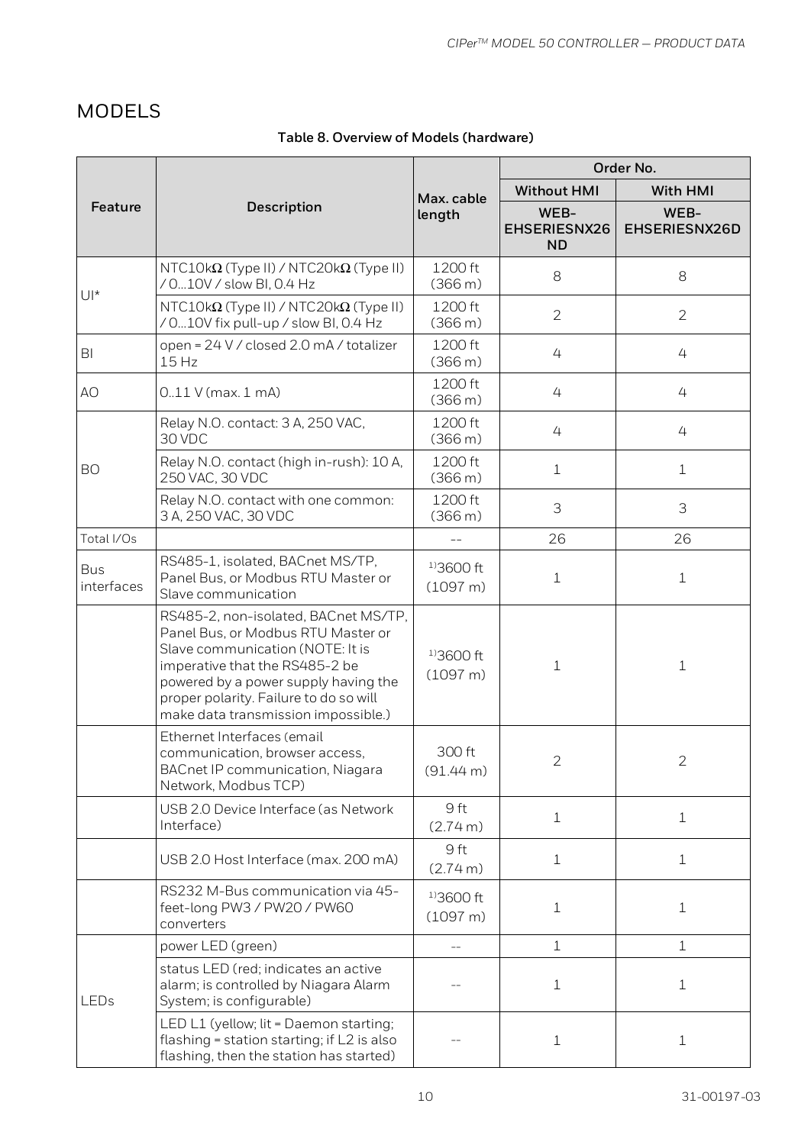# MODELS

## **Table 8. Overview of Models (hardware)**

|                                                                                                                                                                                                                                                                           |                                                                                                                                 | Max. cable                     | Order No.                         |                       |
|---------------------------------------------------------------------------------------------------------------------------------------------------------------------------------------------------------------------------------------------------------------------------|---------------------------------------------------------------------------------------------------------------------------------|--------------------------------|-----------------------------------|-----------------------|
|                                                                                                                                                                                                                                                                           |                                                                                                                                 |                                | <b>Without HMI</b>                | With HMI              |
| Feature                                                                                                                                                                                                                                                                   | Description                                                                                                                     | length                         | WEB-<br>EHSERIESNX26<br><b>ND</b> | WEB-<br>EHSERIESNX26D |
| $U^*$                                                                                                                                                                                                                                                                     | $NTC10k\Omega$ (Type II) / NTC20k $\Omega$ (Type II)<br>/ 010V / slow BI, 0.4 Hz                                                | 1200 ft<br>(366 m)             | 8                                 | 8                     |
|                                                                                                                                                                                                                                                                           | $NTC10k\Omega$ (Type II) / NTC20k $\Omega$ (Type II)<br>/ 010V fix pull-up / slow BI, 0.4 Hz                                    | 1200 ft<br>(366 m)             | $\overline{2}$                    | $\overline{2}$        |
| BI                                                                                                                                                                                                                                                                        | open = 24 V / closed 2.0 mA / totalizer<br>15 Hz                                                                                | 1200 ft<br>(366 m)             | 4                                 | 4                     |
| AO                                                                                                                                                                                                                                                                        | $0.11$ V (max. 1 mA)                                                                                                            | 1200 ft<br>(366 m)             | 4                                 | 4                     |
|                                                                                                                                                                                                                                                                           | Relay N.O. contact: 3 A, 250 VAC,<br>30 VDC                                                                                     | 1200 ft<br>(366 m)             | 4                                 | 4                     |
| <b>BO</b>                                                                                                                                                                                                                                                                 | Relay N.O. contact (high in-rush): 10 A,<br>250 VAC, 30 VDC                                                                     | 1200 ft<br>(366 m)             | $\mathbf 1$                       | $\mathbf 1$           |
|                                                                                                                                                                                                                                                                           | Relay N.O. contact with one common:<br>3 A, 250 VAC, 30 VDC                                                                     | 1200 ft<br>(366 m)             | 3                                 | 3                     |
| Total I/Os                                                                                                                                                                                                                                                                |                                                                                                                                 |                                | 26                                | 26                    |
| <b>Bus</b><br>interfaces                                                                                                                                                                                                                                                  | RS485-1, isolated, BACnet MS/TP,<br>Panel Bus, or Modbus RTU Master or<br>Slave communication                                   | $13600 \text{ ft}$<br>(1097 m) | $\mathbf 1$                       | $\mathbf 1$           |
| RS485-2, non-isolated, BACnet MS/TP,<br>Panel Bus, or Modbus RTU Master or<br>Slave communication (NOTE: It is<br>imperative that the RS485-2 be<br>powered by a power supply having the<br>proper polarity. Failure to do so will<br>make data transmission impossible.) |                                                                                                                                 | $1)3600$ ft<br>(1097 m)        | $\mathbf{1}$                      | $\mathbf 1$           |
|                                                                                                                                                                                                                                                                           | Ethernet Interfaces (email<br>communication, browser access,<br>BACnet IP communication, Niagara<br>Network, Modbus TCP)        | 300 ft<br>(91.44 m)            | $\overline{2}$                    | $\overline{2}$        |
|                                                                                                                                                                                                                                                                           | USB 2.0 Device Interface (as Network<br>Interface)                                                                              | 9 ft<br>(2.74 m)               | $\mathbf 1$                       | $\mathbf 1$           |
|                                                                                                                                                                                                                                                                           | USB 2.0 Host Interface (max. 200 mA)                                                                                            |                                | $\mathbf 1$                       | $\mathbf 1$           |
|                                                                                                                                                                                                                                                                           | RS232 M-Bus communication via 45-<br>feet-long PW3 / PW20 / PW60<br>converters                                                  | $13600 \text{ ft}$<br>(1097 m) | $\mathbf 1$                       | $\mathbf{1}$          |
|                                                                                                                                                                                                                                                                           | power LED (green)                                                                                                               |                                | $\mathbf{1}$                      | $\mathbf{1}$          |
| LEDs                                                                                                                                                                                                                                                                      | status LED (red; indicates an active<br>alarm; is controlled by Niagara Alarm<br>System; is configurable)                       |                                | $\mathbf{1}$                      | 1                     |
|                                                                                                                                                                                                                                                                           | LED L1 (yellow; lit = Daemon starting;<br>flashing = station starting; if L2 is also<br>flashing, then the station has started) |                                | $\mathbf 1$                       | $\mathbf{1}$          |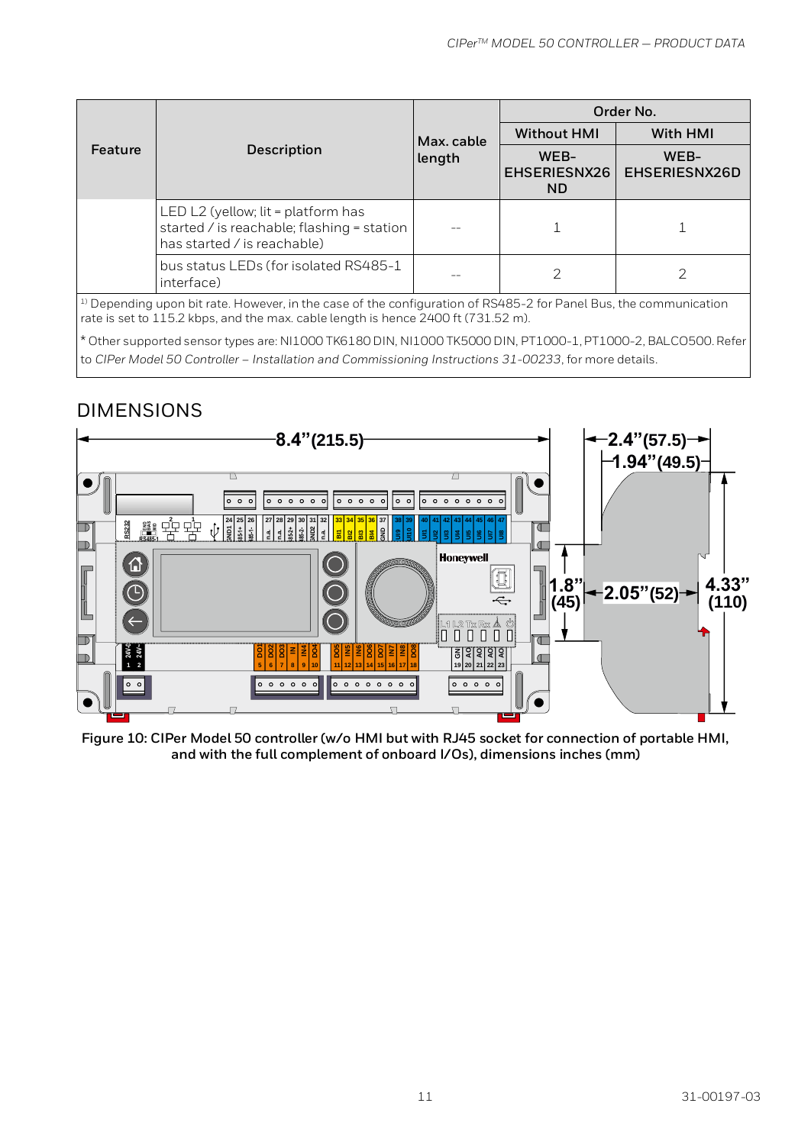|         |                                                                                                                 | Max. cable<br>length | Order No.                         |                       |
|---------|-----------------------------------------------------------------------------------------------------------------|----------------------|-----------------------------------|-----------------------|
| Feature |                                                                                                                 |                      | <b>Without HMI</b>                | With HMI              |
|         | Description                                                                                                     |                      | WEB-<br>EHSERIESNX26<br><b>ND</b> | WEB-<br>EHSERIESNX26D |
|         | LED L2 (yellow; lit = platform has<br>started / is reachable; flashing = station<br>has started / is reachable) |                      |                                   |                       |
|         | bus status LEDs (for isolated RS485-1<br>interface)                                                             |                      |                                   |                       |

<sup>1)</sup> Depending upon bit rate. However, in the case of the configuration of RS485-2 for Panel Bus, the communication rate is set to 115.2 kbps, and the max. cable length is hence 2400 ft (731.52 m).

\* Other supported sensor types are: NI1000 TK6180 DIN, NI1000 TK5000 DIN, PT1000-1, PT1000-2, BALCO500. Refer to CIPer Model 50 Controller – Installation and Commissioning Instructions 31-00233, for more details.

## DIMENSIONS



<span id="page-10-0"></span>**Figure 10: CIPer Model 50 controller (w/o HMI but with RJ45 socket for connection of portable HMI, and with the full complement of onboard I/Os), dimensions inches (mm)**